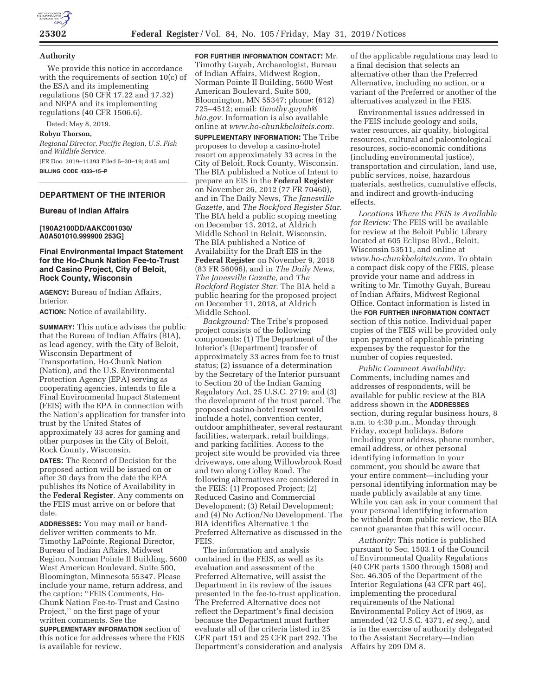

#### **Authority**

We provide this notice in accordance with the requirements of section 10(c) of the ESA and its implementing regulations (50 CFR 17.22 and 17.32) and NEPA and its implementing regulations (40 CFR 1506.6).

Dated: May 8, 2019.

### **Robyn Thorson,**

*Regional Director, Pacific Region, U.S. Fish and Wildlife Service.* 

[FR Doc. 2019–11393 Filed 5–30–19; 8:45 am] **BILLING CODE 4333–15–P** 

# **DEPARTMENT OF THE INTERIOR**

#### **Bureau of Indian Affairs**

**[190A2100DD/AAKC001030/ A0A501010.999900 253G]** 

#### **Final Environmental Impact Statement for the Ho-Chunk Nation Fee-to-Trust and Casino Project, City of Beloit, Rock County, Wisconsin**

**AGENCY:** Bureau of Indian Affairs, Interior.

**ACTION:** Notice of availability.

**SUMMARY:** This notice advises the public that the Bureau of Indian Affairs (BIA), as lead agency, with the City of Beloit, Wisconsin Department of Transportation, Ho-Chunk Nation (Nation), and the U.S. Environmental Protection Agency (EPA) serving as cooperating agencies, intends to file a Final Environmental Impact Statement (FEIS) with the EPA in connection with the Nation's application for transfer into trust by the United States of approximately 33 acres for gaming and other purposes in the City of Beloit, Rock County, Wisconsin.

**DATES:** The Record of Decision for the proposed action will be issued on or after 30 days from the date the EPA publishes its Notice of Availability in the **Federal Register**. Any comments on the FEIS must arrive on or before that date.

**ADDRESSES:** You may mail or handdeliver written comments to Mr. Timothy LaPointe, Regional Director, Bureau of Indian Affairs, Midwest Region, Norman Pointe II Building, 5600 West American Boulevard, Suite 500, Bloomington, Minnesota 55347. Please include your name, return address, and the caption: ''FEIS Comments, Ho-Chunk Nation Fee-to-Trust and Casino Project,'' on the first page of your written comments. See the

**SUPPLEMENTARY INFORMATION** section of this notice for addresses where the FEIS is available for review.

**FOR FURTHER INFORMATION CONTACT:** Mr. Timothy Guyah, Archaeologist, Bureau of Indian Affairs, Midwest Region, Norman Pointe II Building, 5600 West American Boulevard, Suite 500, Bloomington, MN 55347; phone: (612) 725–4512; email: *timothy.guyah@ bia.gov.* Information is also available online at *[www.ho-chunkbeloiteis.com.](www.ho-chunkbeloiteis.com)* 

**SUPPLEMENTARY INFORMATION:** The Tribe proposes to develop a casino-hotel resort on approximately 33 acres in the City of Beloit, Rock County, Wisconsin. The BIA published a Notice of Intent to prepare an EIS in the **Federal Register**  on November 26, 2012 (77 FR 70460), and in The Daily News, *The Janesville Gazette,* and *The Rockford Register Star.*  The BIA held a public scoping meeting on December 13, 2012, at Aldrich Middle School in Beloit, Wisconsin. The BIA published a Notice of Availability for the Draft EIS in the **Federal Register** on November 9, 2018 (83 FR 56096), and in *The Daily News, The Janesville Gazette,* and *The Rockford Register Star.* The BIA held a public hearing for the proposed project on December 11, 2018, at Aldrich Middle School.

*Background:* The Tribe's proposed project consists of the following components: (1) The Department of the Interior's (Department) transfer of approximately 33 acres from fee to trust status; (2) issuance of a determination by the Secretary of the Interior pursuant to Section 20 of the Indian Gaming Regulatory Act, 25 U.S.C. 2719; and (3) the development of the trust parcel. The proposed casino-hotel resort would include a hotel, convention center, outdoor amphitheater, several restaurant facilities, waterpark, retail buildings, and parking facilities. Access to the project site would be provided via three driveways, one along Willowbrook Road and two along Colley Road. The following alternatives are considered in the FEIS: (1) Proposed Project; (2) Reduced Casino and Commercial Development; (3) Retail Development; and (4) No Action/No Development. The BIA identifies Alternative 1 the Preferred Alternative as discussed in the FEIS.

The information and analysis contained in the FEIS, as well as its evaluation and assessment of the Preferred Alternative, will assist the Department in its review of the issues presented in the fee-to-trust application. The Preferred Alternative does not reflect the Department's final decision because the Department must further evaluate all of the criteria listed in 25 CFR part 151 and 25 CFR part 292. The Department's consideration and analysis

of the applicable regulations may lead to a final decision that selects an alternative other than the Preferred Alternative, including no action, or a variant of the Preferred or another of the alternatives analyzed in the FEIS.

Environmental issues addressed in the FEIS include geology and soils, water resources, air quality, biological resources, cultural and paleontological resources, socio-economic conditions (including environmental justice), transportation and circulation, land use, public services, noise, hazardous materials, aesthetics, cumulative effects, and indirect and growth-inducing effects.

*Locations Where the FEIS is Available for Review:* The FEIS will be available for review at the Beloit Public Library located at 605 Eclipse Blvd., Beloit, Wisconsin 53511, and online at *<www.ho-chunkbeloiteis.com>.* To obtain a compact disk copy of the FEIS, please provide your name and address in writing to Mr. Timothy Guyah, Bureau of Indian Affairs, Midwest Regional Office. Contact information is listed in the **FOR FURTHER INFORMATION CONTACT**  section of this notice. Individual paper copies of the FEIS will be provided only upon payment of applicable printing expenses by the requestor for the number of copies requested.

*Public Comment Availability:*  Comments, including names and addresses of respondents, will be available for public review at the BIA address shown in the **ADDRESSES**  section, during regular business hours, 8 a.m. to 4:30 p.m., Monday through Friday, except holidays. Before including your address, phone number, email address, or other personal identifying information in your comment, you should be aware that your entire comment—including your personal identifying information may be made publicly available at any time. While you can ask in your comment that your personal identifying information be withheld from public review, the BIA cannot guarantee that this will occur.

*Authority:* This notice is published pursuant to Sec. 1503.1 of the Council of Environmental Quality Regulations (40 CFR parts 1500 through 1508) and Sec. 46.305 of the Department of the Interior Regulations (43 CFR part 46), implementing the procedural requirements of the National Environmental Policy Act of l969, as amended (42 U.S.C. 4371, *et seq.*), and is in the exercise of authority delegated to the Assistant Secretary—Indian Affairs by 209 DM 8.